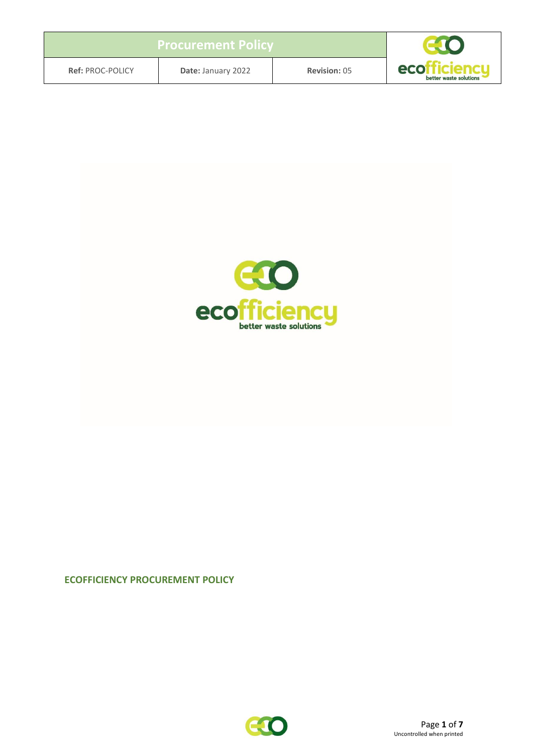| <b>Procurement Policy</b> |                    |                     |                               |
|---------------------------|--------------------|---------------------|-------------------------------|
| <b>Ref: PROC-POLICY</b>   | Date: January 2022 | <b>Revision: 05</b> | eco<br>better waste solutions |



### **ECOFFICIENCY PROCUREMENT POLICY**

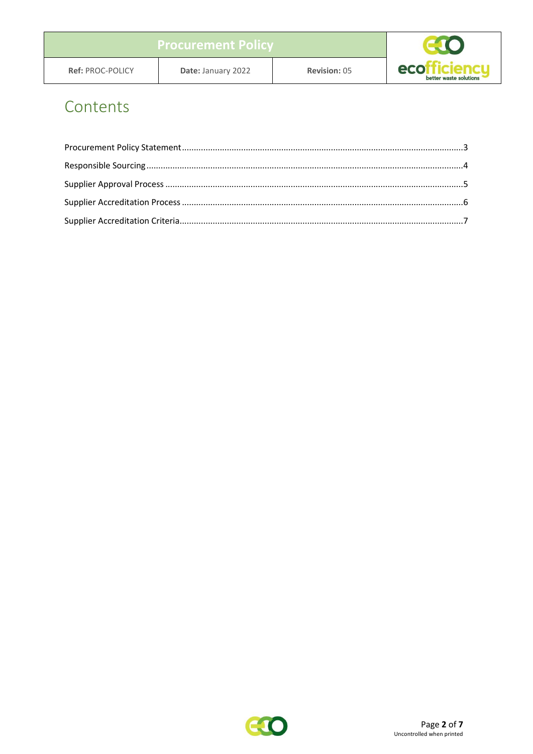## Contents

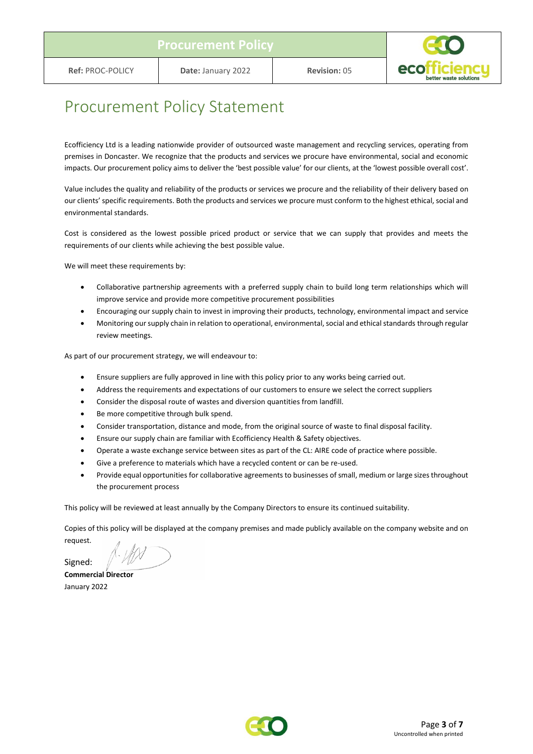

### <span id="page-2-0"></span>Procurement Policy Statement

Ecofficiency Ltd is a leading nationwide provider of outsourced waste management and recycling services, operating from premises in Doncaster. We recognize that the products and services we procure have environmental, social and economic impacts. Our procurement policy aims to deliver the 'best possible value' for our clients, at the 'lowest possible overall cost'.

Value includes the quality and reliability of the products or services we procure and the reliability of their delivery based on our clients' specific requirements. Both the products and services we procure must conform to the highest ethical, social and environmental standards.

Cost is considered as the lowest possible priced product or service that we can supply that provides and meets the requirements of our clients while achieving the best possible value.

We will meet these requirements by:

- Collaborative partnership agreements with a preferred supply chain to build long term relationships which will improve service and provide more competitive procurement possibilities
- Encouraging our supply chain to invest in improving their products, technology, environmental impact and service
- Monitoring our supply chain in relation to operational, environmental, social and ethical standards through regular review meetings.

As part of our procurement strategy, we will endeavour to:

- Ensure suppliers are fully approved in line with this policy prior to any works being carried out.
- Address the requirements and expectations of our customers to ensure we select the correct suppliers
- Consider the disposal route of wastes and diversion quantities from landfill.
- Be more competitive through bulk spend.
- Consider transportation, distance and mode, from the original source of waste to final disposal facility.
- Ensure our supply chain are familiar with Ecofficiency Health & Safety objectives.
- Operate a waste exchange service between sites as part of the CL: AIRE code of practice where possible.
- Give a preference to materials which have a recycled content or can be re-used.
- Provide equal opportunities for collaborative agreements to businesses of small, medium or large sizes throughout the procurement process

This policy will be reviewed at least annually by the Company Directors to ensure its continued suitability.

Copies of this policy will be displayed at the company premises and made publicly available on the company website and on request.

Signed:

**Commercial Director** January 2022

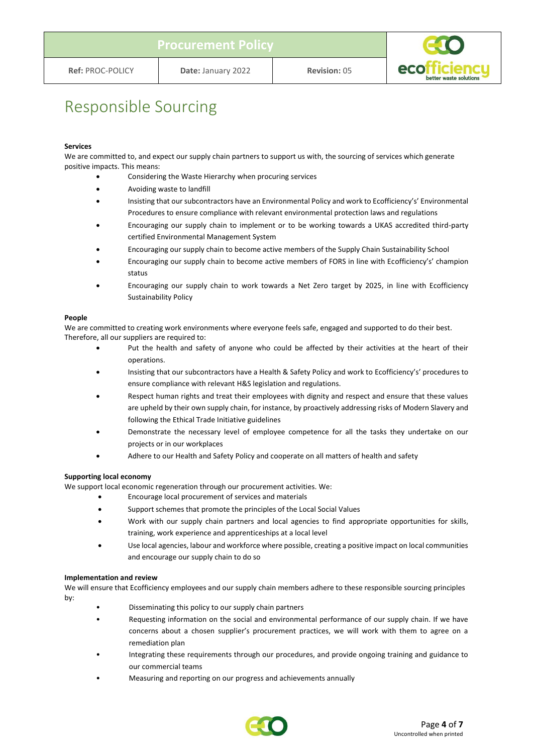

### <span id="page-3-0"></span>Responsible Sourcing

#### **Services**

We are committed to, and expect our supply chain partners to support us with, the sourcing of services which generate positive impacts. This means:

- Considering the Waste Hierarchy when procuring services
- Avoiding waste to landfill
- Insisting that our subcontractors have an Environmental Policy and work to Ecofficiency's' Environmental Procedures to ensure compliance with relevant environmental protection laws and regulations
- Encouraging our supply chain to implement or to be working towards a UKAS accredited third-party certified Environmental Management System
- Encouraging our supply chain to become active members of the Supply Chain Sustainability School
- Encouraging our supply chain to become active members of FORS in line with Ecofficiency's' champion status
- Encouraging our supply chain to work towards a Net Zero target by 2025, in line with Ecofficiency Sustainability Policy

#### **People**

We are committed to creating work environments where everyone feels safe, engaged and supported to do their best. Therefore, all our suppliers are required to:

- Put the health and safety of anyone who could be affected by their activities at the heart of their operations.
- Insisting that our subcontractors have a Health & Safety Policy and work to Ecofficiency's' procedures to ensure compliance with relevant H&S legislation and regulations.
- Respect human rights and treat their employees with dignity and respect and ensure that these values are upheld by their own supply chain, for instance, by proactively addressing risks of Modern Slavery and following the Ethical Trade Initiative guidelines
- Demonstrate the necessary level of employee competence for all the tasks they undertake on our projects or in our workplaces
- Adhere to our Health and Safety Policy and cooperate on all matters of health and safety

#### **Supporting local economy**

We support local economic regeneration through our procurement activities. We:

- Encourage local procurement of services and materials
- Support schemes that promote the principles of the Local Social Values
- Work with our supply chain partners and local agencies to find appropriate opportunities for skills, training, work experience and apprenticeships at a local level
- Use local agencies, labour and workforce where possible, creating a positive impact on local communities and encourage our supply chain to do so

#### **Implementation and review**

We will ensure that Ecofficiency employees and our supply chain members adhere to these responsible sourcing principles by:

- Disseminating this policy to our supply chain partners
- Requesting information on the social and environmental performance of our supply chain. If we have concerns about a chosen supplier's procurement practices, we will work with them to agree on a remediation plan
- Integrating these requirements through our procedures, and provide ongoing training and guidance to our commercial teams
- Measuring and reporting on our progress and achievements annually

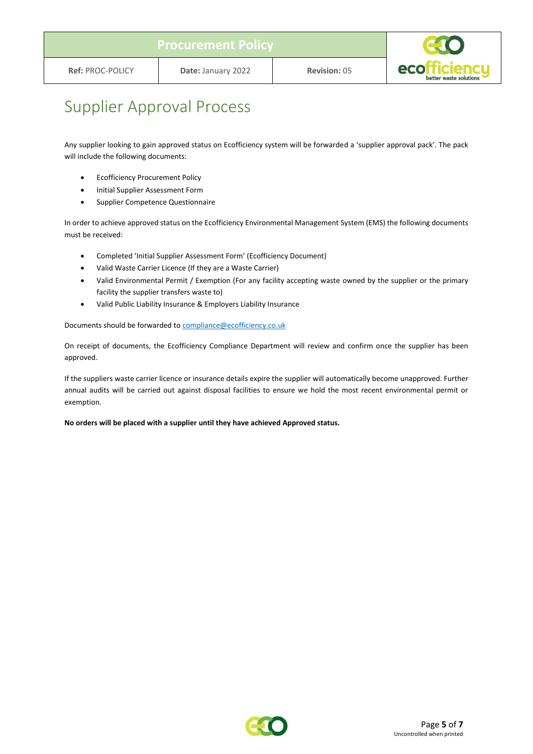

## <span id="page-4-0"></span>Supplier Approval Process

Any supplier looking to gain approved status on Ecofficiency system will be forwarded a 'supplier approval pack'. The pack will include the following documents:

- Ecofficiency Procurement Policy
- Initial Supplier Assessment Form
- Supplier Competence Questionnaire

In order to achieve approved status on the Ecofficiency Environmental Management System (EMS) the following documents must be received:

- Completed 'Initial Supplier Assessment Form' (Ecofficiency Document)
- Valid Waste Carrier Licence (If they are a Waste Carrier)
- Valid Environmental Permit / Exemption (For any facility accepting waste owned by the supplier or the primary facility the supplier transfers waste to)
- Valid Public Liability Insurance & Employers Liability Insurance

Documents should be forwarded to [compliance@ecofficiency.co.uk](mailto:compliance@ecofficiency.co.uk)

On receipt of documents, the Ecofficiency Compliance Department will review and confirm once the supplier has been approved.

If the suppliers waste carrier licence or insurance details expire the supplier will automatically become unapproved. Further annual audits will be carried out against disposal facilities to ensure we hold the most recent environmental permit or exemption.

**No orders will be placed with a supplier until they have achieved Approved status.**

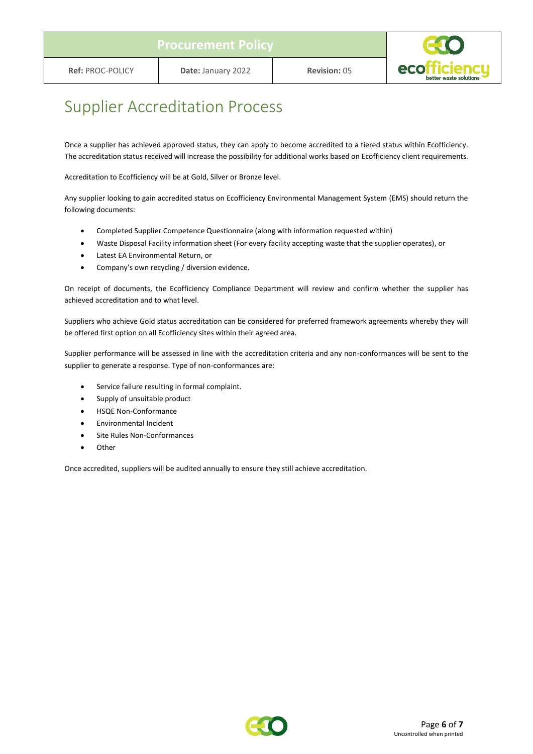

### <span id="page-5-0"></span>Supplier Accreditation Process

Once a supplier has achieved approved status, they can apply to become accredited to a tiered status within Ecofficiency. The accreditation status received will increase the possibility for additional works based on Ecofficiency client requirements.

Accreditation to Ecofficiency will be at Gold, Silver or Bronze level.

Any supplier looking to gain accredited status on Ecofficiency Environmental Management System (EMS) should return the following documents:

- Completed Supplier Competence Questionnaire (along with information requested within)
- Waste Disposal Facility information sheet (For every facility accepting waste that the supplier operates), or
- Latest EA Environmental Return, or
- Company's own recycling / diversion evidence.

On receipt of documents, the Ecofficiency Compliance Department will review and confirm whether the supplier has achieved accreditation and to what level.

Suppliers who achieve Gold status accreditation can be considered for preferred framework agreements whereby they will be offered first option on all Ecofficiency sites within their agreed area.

Supplier performance will be assessed in line with the accreditation criteria and any non-conformances will be sent to the supplier to generate a response. Type of non-conformances are:

- Service failure resulting in formal complaint.
- Supply of unsuitable product
- HSQE Non-Conformance
- Environmental Incident
- Site Rules Non-Conformances
- Other

Once accredited, suppliers will be audited annually to ensure they still achieve accreditation.